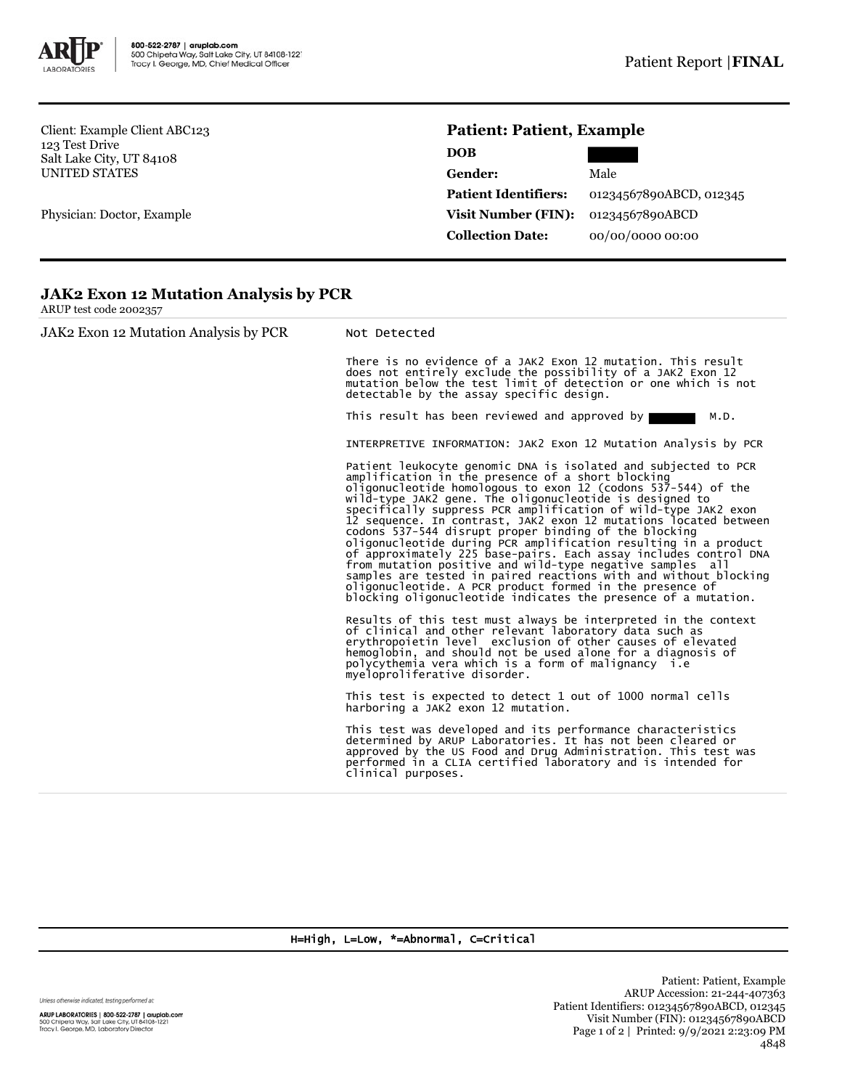

Client: Example Client ABC123 123 Test Drive Salt Lake City, UT 84108 UNITED STATES

Physician: Doctor, Example

## **Patient: Patient, Example**

| <b>DOB</b>                  |                         |  |
|-----------------------------|-------------------------|--|
| Gender:                     | Male                    |  |
| <b>Patient Identifiers:</b> | 01234567890ABCD, 012345 |  |
| Visit Number (FIN):         | 01234567890ABCD         |  |
| <b>Collection Date:</b>     | 00/00/0000 00:00        |  |

## **JAK2 Exon 12 Mutation Analysis by PCR**

ARUP test code 2002357

JAK2 Exon 12 Mutation Analysis by PCR Not Detected There is no evidence of a JAK2 Exon 12 mutation. This result does not entirely exclude the possibility of a JAK2 Exon 12 mutation below the test limit of detection or one which is not detectable by the assay specific design. This result has been reviewed and approved by  $\blacksquare$  M.D. INTERPRETIVE INFORMATION: JAK2 Exon 12 Mutation Analysis by PCR Patient leukocyte genomic DNA is isolated and subjected to PCR<br>amplification in the presence of a short blocking<br>oligonucleotide homologous to exon 12 (codons 537-544) of the<br>oligonucleotide is designed to<br>specifically sup samples are tested in paired reactions with and without blocking oligonucleotide. A PCR product formed in the presence of blocking oligonucleotide indicates the presence of a mutation. Results of this test must always be interpreted in the context of clinical and other relevant laboratory data such as erythropoietin level exclusion of other causes of elevated hemoglobin, and should not be used alone for a diagnosis of polycythemia vera which is a form of malignancy i.e myeloproliferative disorder. This test is expected to detect 1 out of 1000 normal cells harboring a JAK2 exon 12 mutation. This test was developed and its performance characteristics determined by ARUP Laboratories. It has not been cleared or approved by the US Food and Drug Administration. This test was performed in a CLIA certified laboratory and is intended for clinical purposes.

H=High, L=Low, \*=Abnormal, C=Critical

Unless otherwise indicated, testing performed at:

ARUP LABORATORIES | 800-522-2787 | aruplab.com 500 Chipeta Way, Salt Lake City, UT 84108-1221<br>Tracy I. George, MD, Laboratory Director

Patient: Patient, Example ARUP Accession: 21-244-407363 Patient Identifiers: 01234567890ABCD, 012345 Visit Number (FIN): 01234567890ABCD Page 1 of 2 | Printed: 9/9/2021 2:23:09 PM 4848